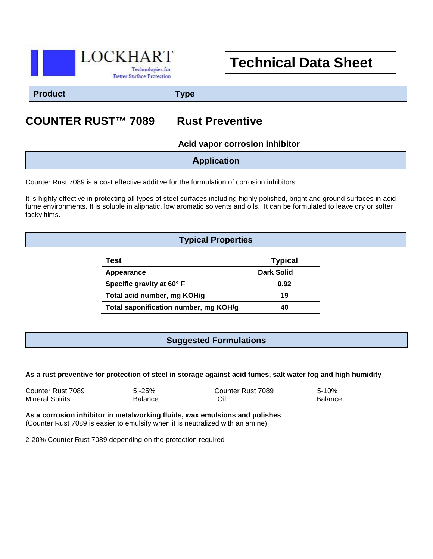

# **Technical Data Sheet**

**Product Type**

## **COUNTER RUST™ 7089 Rust Preventive**

**Acid vapor corrosion inhibitor**

Counter Rust 7089 is a cost effective additive for the formulation of corrosion inhibitors.

It is highly effective in protecting all types of steel surfaces including highly polished, bright and ground surfaces in acid fume environments. It is soluble in aliphatic, low aromatic solvents and oils. It can be formulated to leave dry or softer tacky films.

#### **Typical Properties**

| Test                                  | <b>Typical</b> |
|---------------------------------------|----------------|
| Appearance                            | Dark Solid     |
| Specific gravity at 60° F             | 0.92           |
| Total acid number, mg KOH/g           | 19             |
| Total saponification number, mg KOH/g | 40             |

#### **Suggested Formulations**

#### **As a rust preventive for protection of steel in storage against acid fumes, salt water fog and high humidity**

| Counter Rust 7089 | $5 - 25%$      | Counter Rust 7089 | $5 - 10%$      |
|-------------------|----------------|-------------------|----------------|
| Mineral Spirits   | <b>Balance</b> | Oil               | <b>Balance</b> |

**As a corrosion inhibitor in metalworking fluids, wax emulsions and polishes** (Counter Rust 7089 is easier to emulsify when it is neutralized with an amine)

2-20% Counter Rust 7089 depending on the protection required